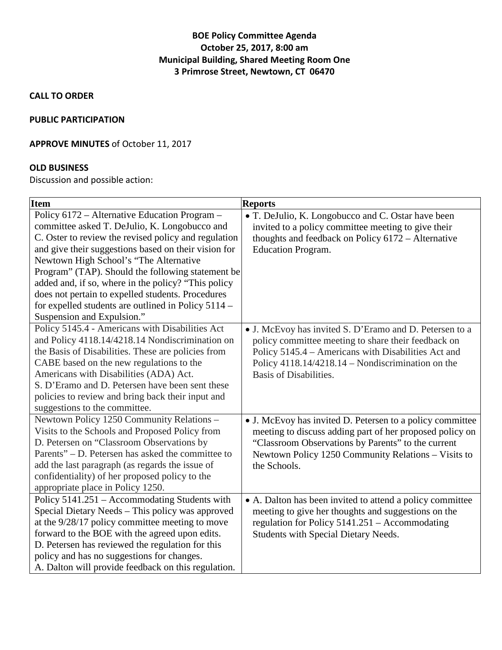# **BOE Policy Committee Agenda October 25, 2017, 8:00 am Municipal Building, Shared Meeting Room One 3 Primrose Street, Newtown, CT 06470**

**CALL TO ORDER**

#### **PUBLIC PARTICIPATION**

### **APPROVE MINUTES** of October 11, 2017

### **OLD BUSINESS**

Discussion and possible action:

| <b>Item</b>                                          | <b>Reports</b>                                            |
|------------------------------------------------------|-----------------------------------------------------------|
| Policy 6172 - Alternative Education Program -        | • T. DeJulio, K. Longobucco and C. Ostar have been        |
| committee asked T. DeJulio, K. Longobucco and        | invited to a policy committee meeting to give their       |
| C. Oster to review the revised policy and regulation | thoughts and feedback on Policy 6172 - Alternative        |
| and give their suggestions based on their vision for | <b>Education Program.</b>                                 |
| Newtown High School's "The Alternative               |                                                           |
| Program" (TAP). Should the following statement be    |                                                           |
| added and, if so, where in the policy? "This policy  |                                                           |
| does not pertain to expelled students. Procedures    |                                                           |
| for expelled students are outlined in Policy 5114 -  |                                                           |
| Suspension and Expulsion."                           |                                                           |
| Policy 5145.4 - Americans with Disabilities Act      | • J. McEvoy has invited S. D'Eramo and D. Petersen to a   |
| and Policy 4118.14/4218.14 Nondiscrimination on      | policy committee meeting to share their feedback on       |
| the Basis of Disabilities. These are policies from   | Policy 5145.4 - Americans with Disabilities Act and       |
| CABE based on the new regulations to the             | Policy 4118.14/4218.14 – Nondiscrimination on the         |
| Americans with Disabilities (ADA) Act.               | <b>Basis of Disabilities.</b>                             |
| S. D'Eramo and D. Petersen have been sent these      |                                                           |
| policies to review and bring back their input and    |                                                           |
| suggestions to the committee.                        |                                                           |
| Newtown Policy 1250 Community Relations -            | • J. McEvoy has invited D. Petersen to a policy committee |
| Visits to the Schools and Proposed Policy from       | meeting to discuss adding part of her proposed policy on  |
| D. Petersen on "Classroom Observations by            | "Classroom Observations by Parents" to the current        |
| Parents" – D. Petersen has asked the committee to    | Newtown Policy 1250 Community Relations - Visits to       |
| add the last paragraph (as regards the issue of      | the Schools.                                              |
| confidentiality) of her proposed policy to the       |                                                           |
| appropriate place in Policy 1250.                    |                                                           |
| Policy 5141.251 – Accommodating Students with        | • A. Dalton has been invited to attend a policy committee |
| Special Dietary Needs - This policy was approved     | meeting to give her thoughts and suggestions on the       |
| at the 9/28/17 policy committee meeting to move      | regulation for Policy 5141.251 – Accommodating            |
| forward to the BOE with the agreed upon edits.       | Students with Special Dietary Needs.                      |
| D. Petersen has reviewed the regulation for this     |                                                           |
| policy and has no suggestions for changes.           |                                                           |
| A. Dalton will provide feedback on this regulation.  |                                                           |